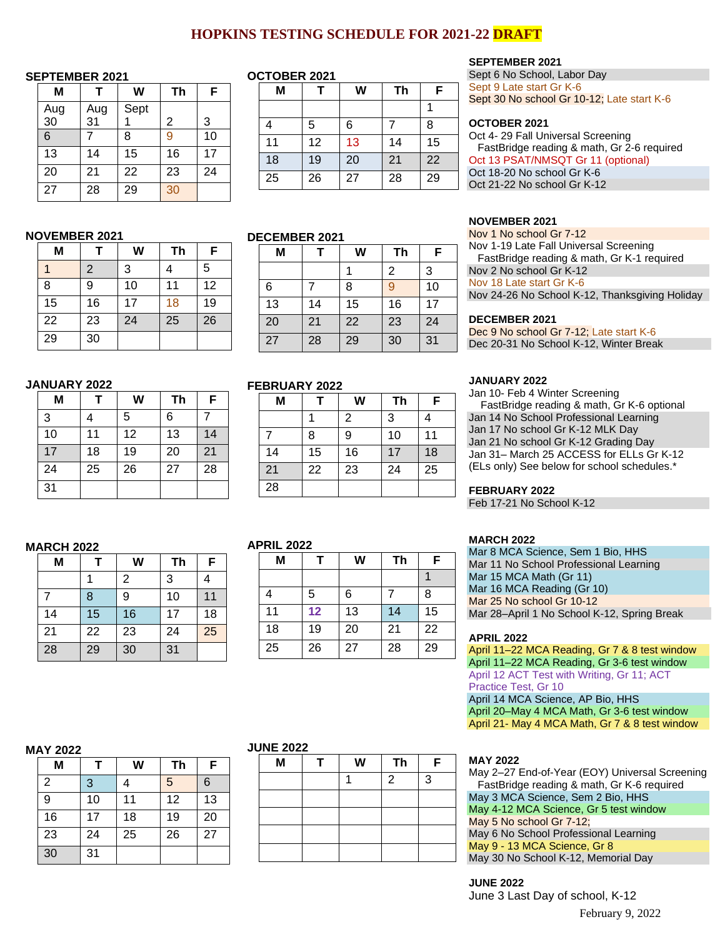# **HOPKINS TESTING SCHEDULE FOR 2021-22 DRAFT**

#### **SEPTEMBER 2021**

| М              |           | W    | Th | F  |  |
|----------------|-----------|------|----|----|--|
| Aug<br>30      | Aug<br>31 | Sept | 2  | 3  |  |
| $\overline{6}$ |           | 8    | 9  | 10 |  |
| 13             | 14        | 15   | 16 | 17 |  |
| 20             | 21        | 22   | 23 | 24 |  |
| 27             | 28        | 29   | 30 |    |  |

**M T W Th F** 1 | 2 | 3 | 4 | 5 8 9 10 11 12 15 16 17 18 19 22 23 24 25 26

### **OCTOBER 2021**

| M  |    | W  | Th | F  |
|----|----|----|----|----|
|    |    |    |    |    |
|    | 5  | 6  |    | 8  |
| 11 | 12 | 13 | 14 | 15 |
| 18 | 19 | 20 | 21 | 22 |
| 25 | 26 | 27 | 28 | 29 |

#### **DECEMBER 2021**

**FEBRUARY 2022**

| JLVLIVIDLI\ ZUZ I |    |    |    |    |  |  |
|-------------------|----|----|----|----|--|--|
| Μ                 |    | W  | Th | F  |  |  |
|                   |    |    | 2  | 3  |  |  |
| 6                 |    | 8  | 9  | 10 |  |  |
| 13                | 14 | 15 | 16 | 17 |  |  |
| 20                | 21 | 22 | 23 | 24 |  |  |
| 27                | 28 | 29 | 30 | 31 |  |  |

**M T W Th F** 1 | 2 | 3 | 4

7 8 9 10 11 14 15 16 17 18 21 22 23 24 25

### **JANUARY 2022**

29 30

**NOVEMBER 2021**

| Μ            | Т  | W  | Th | F  |
|--------------|----|----|----|----|
| $\mathbf{3}$ | 4  | 5  | 6  |    |
| 10           | 11 | 12 | 13 | 14 |
| 17           | 18 | 19 | 20 | 21 |
| 24           | 25 | 26 | 27 | 28 |
| 31           |    |    |    |    |

#### **MARCH 2022**

| M  |    | W  | Th | F  |
|----|----|----|----|----|
|    |    | 2  | 3  |    |
| 7  | 8  | 9  | 10 | 11 |
| 14 | 15 | 16 | 17 | 18 |
| 21 | 22 | 23 | 24 | 25 |
| 28 | 29 | 30 | 31 |    |

# **APRIL 2022**

28

| FNIL ZVZZ |    |    |    |    |  |  |
|-----------|----|----|----|----|--|--|
| Μ         |    | W  | Th | F  |  |  |
|           |    |    |    |    |  |  |
| 4         | 5  | 6  |    | 8  |  |  |
| 11        | 12 | 13 | 14 | 15 |  |  |
| 18        | 19 | 20 | 21 | 22 |  |  |
| 25        | 26 | 27 | 28 | 29 |  |  |

#### **MAY 2022**

| M              | т  | W  | Th | F  |
|----------------|----|----|----|----|
| $\overline{2}$ | 3  |    | 5  | 6  |
| 9              | 10 | 11 | 12 | 13 |
| 16             | 17 | 18 | 19 | 20 |
| 23             | 24 | 25 | 26 | 27 |
| 30             | 31 |    |    |    |

#### **JUNE 2022**

| M | W | <b>Th</b>      | F |
|---|---|----------------|---|
|   |   | $\overline{2}$ | 3 |
|   |   |                |   |
|   |   |                |   |
|   |   |                |   |
|   |   |                |   |

### **SEPTEMBER 2021**

Sept 6 No School, Labor Day Sept 9 Late start Gr K-6 Sept 30 No school Gr 10-12; Late start K-6

#### **OCTOBER 2021**

Oct 4- 29 Fall Universal Screening FastBridge reading & math, Gr 2-6 required Oct 13 PSAT/NMSQT Gr 11 (optional) Oct 18-20 No school Gr K-6 Oct 21-22 No school Gr K-12

#### **NOVEMBER 2021**

Nov 1 No school Gr 7-12 Nov 1-19 Late Fall Universal Screening FastBridge reading & math, Gr K-1 required Nov 2 No school Gr K-12 Nov 18 Late start Gr K-6 Nov 24-26 No School K-12, Thanksgiving Holiday

#### **DECEMBER 2021**

Dec 9 No school Gr 7-12; Late start K-6 Dec 20-31 No School K-12, Winter Break

#### **JANUARY 2022**

Jan 10- Feb 4 Winter Screening FastBridge reading & math, Gr K-6 optional Jan 14 No School Professional Learning Jan 17 No school Gr K-12 MLK Day Jan 21 No school Gr K-12 Grading Day Jan 31– March 25 ACCESS for ELLs Gr K-12 (ELs only) See below for school schedules.\*

#### **FEBRUARY 2022**

Feb 17-21 No School K-12

#### **MARCH 2022**

| Mar 8 MCA Science, Sem 1 Bio, HHS           |
|---------------------------------------------|
|                                             |
| Mar 11 No School Professional Learning      |
| Mar 15 MCA Math (Gr 11)                     |
| Mar 16 MCA Reading (Gr 10)                  |
| Mar 25 No school Gr 10-12                   |
| Mar 28-April 1 No School K-12, Spring Break |

#### **APRIL 2022**

April 11–22 MCA Reading, Gr 7 & 8 test window April 11–22 MCA Reading, Gr 3-6 test window April 12 ACT Test with Writing, Gr 11; ACT Practice Test, Gr 10 April 14 MCA Science, AP Bio, HHS

April 20–May 4 MCA Math, Gr 3-6 test window April 21- May 4 MCA Math, Gr 7 & 8 test window

#### **MAY 2022**

May 2–27 End-of-Year (EOY) Universal Screening FastBridge reading & math, Gr K-6 required May 3 MCA Science, Sem 2 Bio, HHS May 4-12 MCA Science, Gr 5 test window May 5 No school Gr 7-12; May 6 No School Professional Learning May 9 - 13 MCA Science, Gr 8 May 30 No School K-12, Memorial Day

### **JUNE 2022**

June 3 Last Day of school, K-12